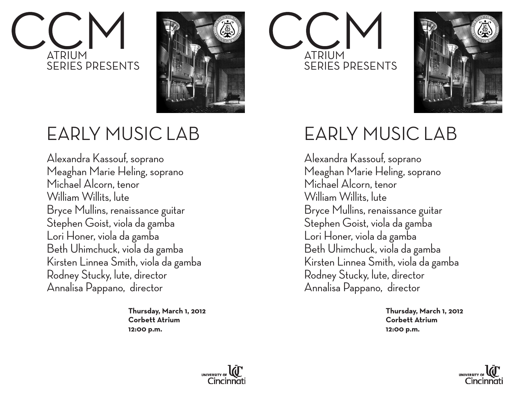## ATRIUM SERIES PRESENTS



ATRIUM SERIES PRESENTS



## EARLY MUSIC LAB

Alexandra Kassouf, soprano Meaghan Marie Heling, soprano Michael Alcorn, tenor William Willits, lute Bryce Mullins, renaissance guitar Stephen Goist, viola da gamba Lori Honer, viola da gamba Beth Uhimchuck, viola da gamba Kirsten Linnea Smith, viola da gamba Rodney Stucky, lute, director Annalisa Pappano, director

> **Thursday, March 1, 2012 Corbett Atrium 12:00 p.m.**

## EARLY MUSIC LAB

Alexandra Kassouf, soprano Meaghan Marie Heling, soprano Michael Alcorn, tenor William Willits, lute Bryce Mullins, renaissance guitar Stephen Goist, viola da gamba Lori Honer, viola da gamba Beth Uhimchuck, viola da gamba Kirsten Linnea Smith, viola da gamba Rodney Stucky, lute, director Annalisa Pappano, director

> **Thursday, March 1, 2012 Corbett Atrium 12:00 p.m.**